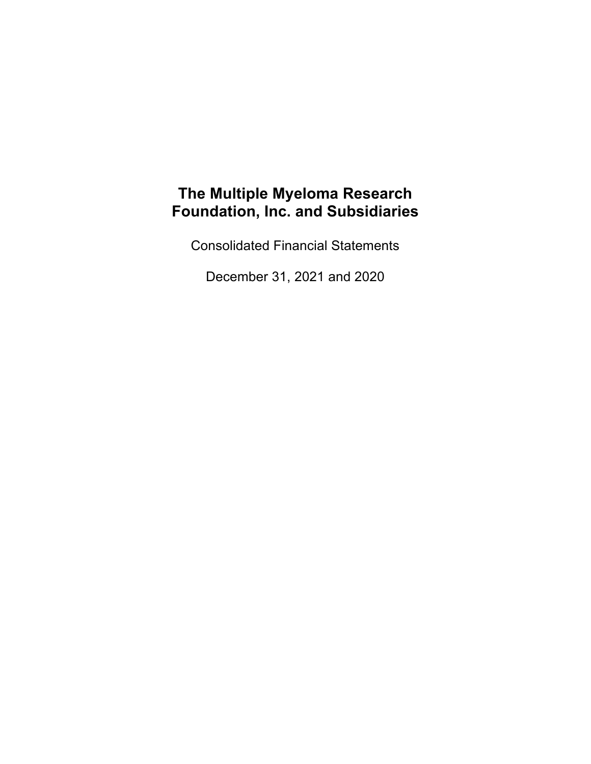Consolidated Financial Statements

December 31, 2021 and 2020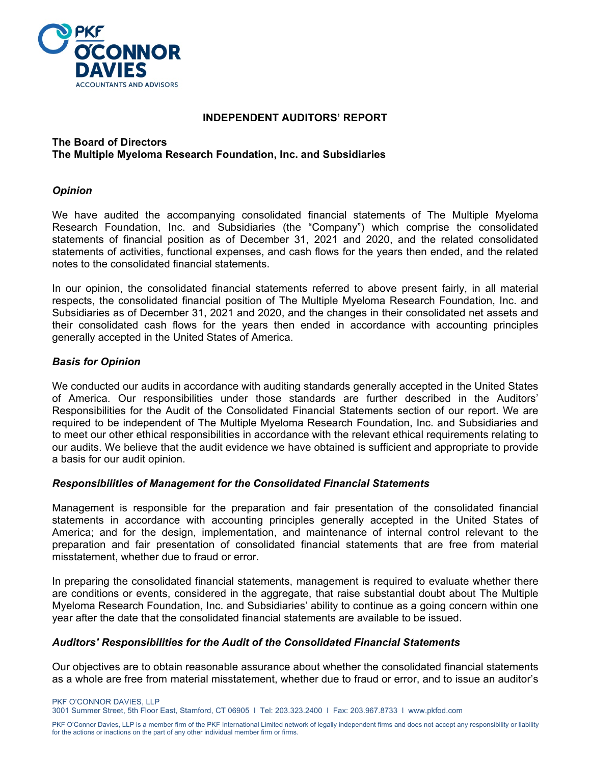

#### **INDEPENDENT AUDITORS' REPORT**

#### **The Board of Directors The Multiple Myeloma Research Foundation, Inc. and Subsidiaries**

#### *Opinion*

We have audited the accompanying consolidated financial statements of The Multiple Myeloma Research Foundation, Inc. and Subsidiaries (the "Company") which comprise the consolidated statements of financial position as of December 31, 2021 and 2020, and the related consolidated statements of activities, functional expenses, and cash flows for the years then ended, and the related notes to the consolidated financial statements.

In our opinion, the consolidated financial statements referred to above present fairly, in all material respects, the consolidated financial position of The Multiple Myeloma Research Foundation, Inc. and Subsidiaries as of December 31, 2021 and 2020, and the changes in their consolidated net assets and their consolidated cash flows for the years then ended in accordance with accounting principles generally accepted in the United States of America.

## *Basis for Opinion*

We conducted our audits in accordance with auditing standards generally accepted in the United States of America. Our responsibilities under those standards are further described in the Auditors' Responsibilities for the Audit of the Consolidated Financial Statements section of our report. We are required to be independent of The Multiple Myeloma Research Foundation, Inc. and Subsidiaries and to meet our other ethical responsibilities in accordance with the relevant ethical requirements relating to our audits. We believe that the audit evidence we have obtained is sufficient and appropriate to provide a basis for our audit opinion.

#### *Responsibilities of Management for the Consolidated Financial Statements*

Management is responsible for the preparation and fair presentation of the consolidated financial statements in accordance with accounting principles generally accepted in the United States of America; and for the design, implementation, and maintenance of internal control relevant to the preparation and fair presentation of consolidated financial statements that are free from material misstatement, whether due to fraud or error.

In preparing the consolidated financial statements, management is required to evaluate whether there are conditions or events, considered in the aggregate, that raise substantial doubt about The Multiple Myeloma Research Foundation, Inc. and Subsidiaries' ability to continue as a going concern within one year after the date that the consolidated financial statements are available to be issued.

#### *Auditors' Responsibilities for the Audit of the Consolidated Financial Statements*

Our objectives are to obtain reasonable assurance about whether the consolidated financial statements as a whole are free from material misstatement, whether due to fraud or error, and to issue an auditor's

PKF O'CONNOR DAVIES, LLP 3001 Summer Street, 5th Floor East, Stamford, CT 06905 I Tel: 203.323.2400 I Fax: 203.967.8733 I www.pkfod.com

PKF O'Connor Davies, LLP is a member firm of the PKF International Limited network of legally independent firms and does not accept any responsibility or liability for the actions or inactions on the part of any other individual member firm or firms.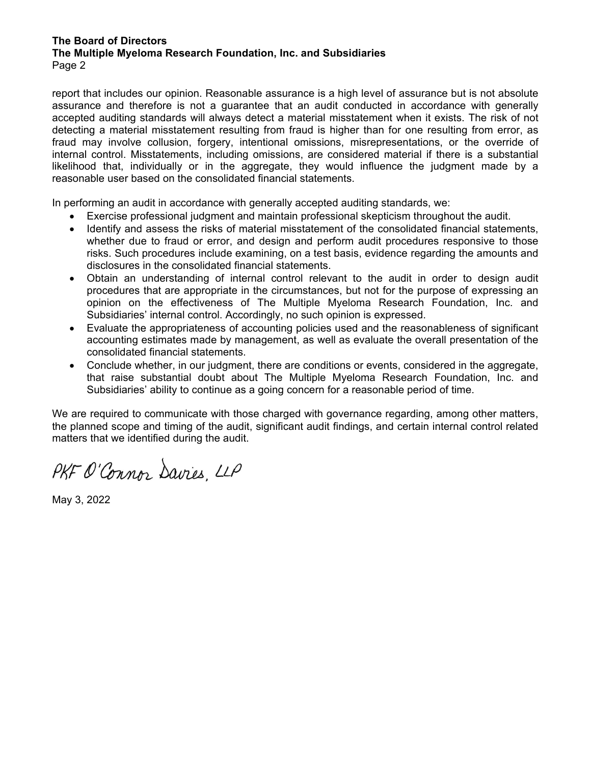#### **The Board of Directors The Multiple Myeloma Research Foundation, Inc. and Subsidiaries** Page 2

report that includes our opinion. Reasonable assurance is a high level of assurance but is not absolute assurance and therefore is not a guarantee that an audit conducted in accordance with generally accepted auditing standards will always detect a material misstatement when it exists. The risk of not detecting a material misstatement resulting from fraud is higher than for one resulting from error, as fraud may involve collusion, forgery, intentional omissions, misrepresentations, or the override of internal control. Misstatements, including omissions, are considered material if there is a substantial likelihood that, individually or in the aggregate, they would influence the judgment made by a reasonable user based on the consolidated financial statements.

In performing an audit in accordance with generally accepted auditing standards, we:

- Exercise professional judgment and maintain professional skepticism throughout the audit.
- Identify and assess the risks of material misstatement of the consolidated financial statements, whether due to fraud or error, and design and perform audit procedures responsive to those risks. Such procedures include examining, on a test basis, evidence regarding the amounts and disclosures in the consolidated financial statements.
- Obtain an understanding of internal control relevant to the audit in order to design audit procedures that are appropriate in the circumstances, but not for the purpose of expressing an opinion on the effectiveness of The Multiple Myeloma Research Foundation, Inc. and Subsidiaries' internal control. Accordingly, no such opinion is expressed.
- Evaluate the appropriateness of accounting policies used and the reasonableness of significant accounting estimates made by management, as well as evaluate the overall presentation of the consolidated financial statements.
- Conclude whether, in our judgment, there are conditions or events, considered in the aggregate, that raise substantial doubt about The Multiple Myeloma Research Foundation, Inc. and Subsidiaries' ability to continue as a going concern for a reasonable period of time.

We are required to communicate with those charged with governance regarding, among other matters, the planned scope and timing of the audit, significant audit findings, and certain internal control related matters that we identified during the audit.

PKF O'Connor Davies, LLP

May 3, 2022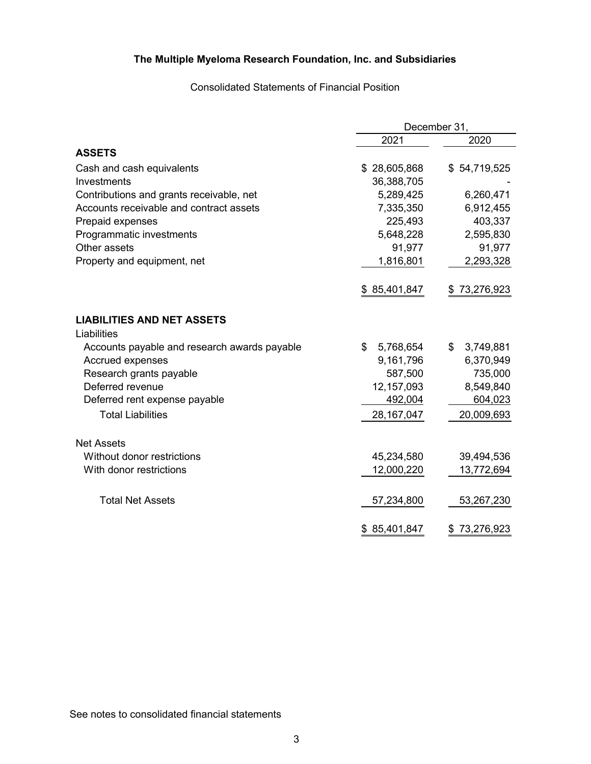Consolidated Statements of Financial Position

|                                              | December 31,    |                  |  |  |
|----------------------------------------------|-----------------|------------------|--|--|
|                                              | 2021            | 2020             |  |  |
| <b>ASSETS</b>                                |                 |                  |  |  |
| Cash and cash equivalents                    | \$28,605,868    | \$54,719,525     |  |  |
| Investments                                  | 36,388,705      |                  |  |  |
| Contributions and grants receivable, net     | 5,289,425       | 6,260,471        |  |  |
| Accounts receivable and contract assets      | 7,335,350       | 6,912,455        |  |  |
| Prepaid expenses                             | 225,493         | 403,337          |  |  |
| Programmatic investments                     | 5,648,228       | 2,595,830        |  |  |
| Other assets                                 | 91,977          | 91,977           |  |  |
| Property and equipment, net                  | 1,816,801       | 2,293,328        |  |  |
|                                              | \$85,401,847    | 73,276,923<br>\$ |  |  |
| <b>LIABILITIES AND NET ASSETS</b>            |                 |                  |  |  |
| Liabilities                                  |                 |                  |  |  |
| Accounts payable and research awards payable | \$<br>5,768,654 | \$<br>3,749,881  |  |  |
| Accrued expenses                             | 9,161,796       | 6,370,949        |  |  |
| Research grants payable                      | 587,500         | 735,000          |  |  |
| Deferred revenue                             | 12,157,093      | 8,549,840        |  |  |
| Deferred rent expense payable                | 492,004         | 604,023          |  |  |
| <b>Total Liabilities</b>                     | 28, 167, 047    | 20,009,693       |  |  |
| <b>Net Assets</b>                            |                 |                  |  |  |
| Without donor restrictions                   | 45,234,580      | 39,494,536       |  |  |
| With donor restrictions                      | 12,000,220      | 13,772,694       |  |  |
| <b>Total Net Assets</b>                      | 57,234,800      | 53,267,230       |  |  |
|                                              | \$85,401,847    | 73,276,923<br>\$ |  |  |

See notes to consolidated financial statements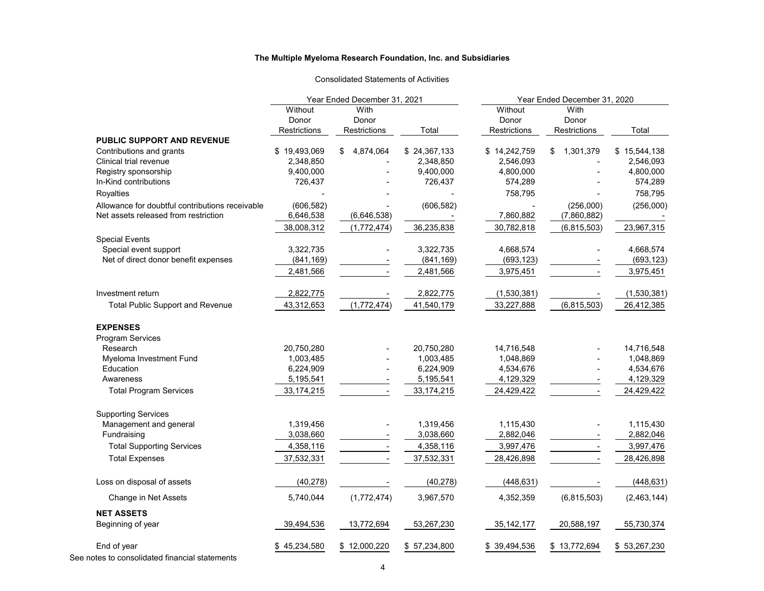#### Consolidated Statements of Activities

|                                                      | Year Ended December 31, 2021 |                 |              | Year Ended December 31, 2020 |                 |              |  |
|------------------------------------------------------|------------------------------|-----------------|--------------|------------------------------|-----------------|--------------|--|
|                                                      | Without                      | With            |              | Without                      | With            |              |  |
|                                                      | Donor                        | Donor           |              | Donor                        | Donor           |              |  |
|                                                      | Restrictions                 | Restrictions    | Total        | Restrictions                 | Restrictions    | Total        |  |
| <b>PUBLIC SUPPORT AND REVENUE</b>                    |                              |                 |              |                              |                 |              |  |
| Contributions and grants                             | \$19,493,069                 | 4,874,064<br>\$ | \$24,367,133 | \$14,242,759                 | 1,301,379<br>\$ | \$15,544,138 |  |
| Clinical trial revenue                               | 2,348,850                    |                 | 2,348,850    | 2,546,093                    |                 | 2,546,093    |  |
| Registry sponsorship                                 | 9,400,000                    |                 | 9,400,000    | 4,800,000                    |                 | 4,800,000    |  |
| In-Kind contributions                                | 726,437                      |                 | 726,437      | 574,289                      |                 | 574,289      |  |
| Royalties                                            |                              |                 |              | 758,795                      |                 | 758,795      |  |
| Allowance for doubtful contributions receivable      | (606, 582)                   |                 | (606, 582)   |                              | (256,000)       | (256,000)    |  |
| Net assets released from restriction                 | 6,646,538                    | (6,646,538)     |              | 7,860,882                    | (7,860,882)     |              |  |
|                                                      | 38,008,312                   | (1,772,474)     | 36,235,838   | 30,782,818                   | (6, 815, 503)   | 23,967,315   |  |
| <b>Special Events</b>                                |                              |                 |              |                              |                 |              |  |
| Special event support                                | 3,322,735                    |                 | 3,322,735    | 4,668,574                    |                 | 4,668,574    |  |
| Net of direct donor benefit expenses                 | (841, 169)                   |                 | (841, 169)   | (693, 123)                   |                 | (693, 123)   |  |
|                                                      | 2,481,566                    |                 | 2,481,566    | 3,975,451                    |                 | 3,975,451    |  |
|                                                      |                              |                 |              |                              |                 |              |  |
| Investment return                                    | 2,822,775                    |                 | 2,822,775    | (1,530,381)                  |                 | (1,530,381)  |  |
| <b>Total Public Support and Revenue</b>              | 43,312,653                   | (1,772,474)     | 41,540,179   | 33,227,888                   | (6,815,503)     | 26,412,385   |  |
| <b>EXPENSES</b>                                      |                              |                 |              |                              |                 |              |  |
| Program Services                                     |                              |                 |              |                              |                 |              |  |
| Research                                             | 20,750,280                   |                 | 20,750,280   | 14,716,548                   |                 | 14,716,548   |  |
| Myeloma Investment Fund                              | 1,003,485                    |                 | 1,003,485    | 1,048,869                    |                 | 1,048,869    |  |
| Education                                            | 6,224,909                    |                 | 6,224,909    | 4,534,676                    |                 | 4,534,676    |  |
| Awareness                                            | 5,195,541                    |                 | 5,195,541    | 4,129,329                    |                 | 4,129,329    |  |
| <b>Total Program Services</b>                        | 33, 174, 215                 |                 | 33, 174, 215 | 24,429,422                   |                 | 24,429,422   |  |
|                                                      |                              |                 |              |                              |                 |              |  |
| <b>Supporting Services</b><br>Management and general | 1,319,456                    |                 | 1,319,456    | 1,115,430                    |                 | 1,115,430    |  |
| Fundraising                                          | 3,038,660                    |                 | 3,038,660    | 2,882,046                    |                 | 2,882,046    |  |
| <b>Total Supporting Services</b>                     | 4,358,116                    |                 | 4,358,116    | 3,997,476                    |                 | 3,997,476    |  |
|                                                      |                              |                 |              |                              |                 |              |  |
| <b>Total Expenses</b>                                | 37,532,331                   |                 | 37,532,331   | 28,426,898                   |                 | 28,426,898   |  |
| Loss on disposal of assets                           | (40, 278)                    |                 | (40, 278)    | (448, 631)                   |                 | (448, 631)   |  |
| Change in Net Assets                                 | 5,740,044                    | (1,772,474)     | 3,967,570    | 4,352,359                    | (6,815,503)     | (2,463,144)  |  |
| <b>NET ASSETS</b>                                    |                              |                 |              |                              |                 |              |  |
| Beginning of year                                    | 39,494,536                   | 13,772,694      | 53,267,230   | 35, 142, 177                 | 20,588,197      | 55,730,374   |  |
| End of year                                          | \$45,234,580                 | \$12,000,220    | \$57,234,800 | \$39,494,536                 | \$13,772,694    | \$53,267,230 |  |

See notes to consolidated financial statements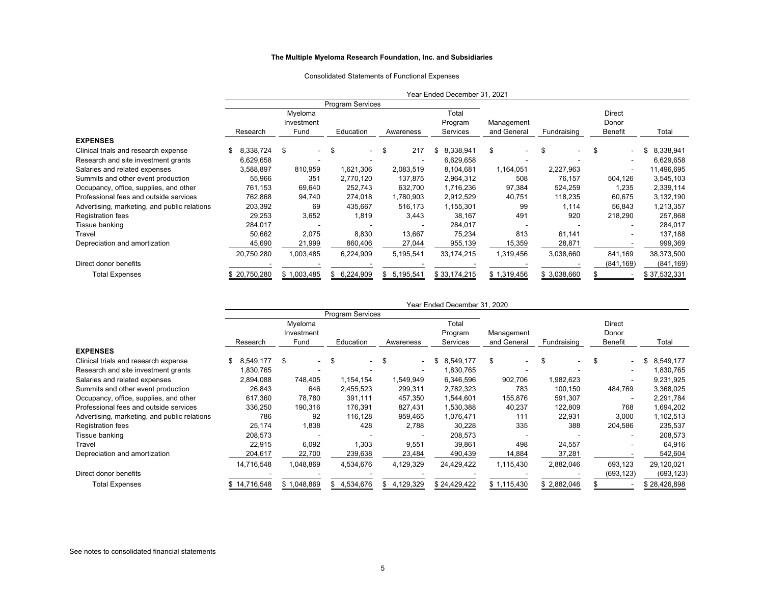#### Consolidated Statements of Functional Expenses

|                                              |                         |             |                  |                | Year Ended December 31, 2021 |                                |             |            |              |
|----------------------------------------------|-------------------------|-------------|------------------|----------------|------------------------------|--------------------------------|-------------|------------|--------------|
|                                              | <b>Program Services</b> |             |                  |                |                              |                                |             |            |              |
|                                              |                         | Myeloma     |                  |                | Total                        |                                |             | Direct     |              |
|                                              |                         | Investment  |                  |                | Program                      | Management                     |             | Donor      |              |
|                                              | Research                | Fund        | Education        | Awareness      | Services                     | and General                    | Fundraising | Benefit    | Total        |
| <b>EXPENSES</b>                              |                         |             |                  |                |                              |                                |             |            |              |
| Clinical trials and research expense         | 8,338,724               | \$          | -S               | 217<br>\$      | \$<br>8,338,941              | \$<br>$\overline{\phantom{0}}$ | \$          | S          | 8,338,941    |
| Research and site investment grants          | 6,629,658               |             |                  |                | 6,629,658                    |                                |             |            | 6,629,658    |
| Salaries and related expenses                | 3,588,897               | 810,959     | 1,621,306        | 2,083,519      | 8,104,681                    | 1,164,051                      | 2,227,963   |            | 11,496,695   |
| Summits and other event production           | 55,966                  | 351         | 2,770,120        | 137,875        | 2,964,312                    | 508                            | 76,157      | 504,126    | 3,545,103    |
| Occupancy, office, supplies, and other       | 761,153                 | 69,640      | 252,743          | 632,700        | 1,716,236                    | 97,384                         | 524,259     | 1,235      | 2,339,114    |
| Professional fees and outside services       | 762,868                 | 94,740      | 274,018          | 1,780,903      | 2,912,529                    | 40,751                         | 118,235     | 60,675     | 3,132,190    |
| Advertising, marketing, and public relations | 203,392                 | 69          | 435,667          | 516,173        | 1,155,301                    | 99                             | 1,114       | 56,843     | 1,213,357    |
| Registration fees                            | 29,253                  | 3,652       | 1,819            | 3,443          | 38,167                       | 491                            | 920         | 218,290    | 257,868      |
| Tissue banking                               | 284,017                 |             |                  |                | 284,017                      |                                |             |            | 284,017      |
| Travel                                       | 50,662                  | 2,075       | 8,830            | 13,667         | 75,234                       | 813                            | 61,141      | ۰          | 137,188      |
| Depreciation and amortization                | 45,690                  | 21,999      | 860,406          | 27,044         | 955,139                      | 15,359                         | 28,871      |            | 999,369      |
|                                              | 20,750,280              | 1,003,485   | 6,224,909        | 5,195,541      | 33, 174, 215                 | 1,319,456                      | 3,038,660   | 841,169    | 38,373,500   |
| Direct donor benefits                        |                         |             |                  |                |                              |                                |             | (841, 169) | (841, 169)   |
| <b>Total Expenses</b>                        | \$20,750,280            | \$1,003,485 | 6,224,909<br>\$. | 5,195,541<br>S | \$33,174,215                 | \$1,319,456                    | \$3,038,660 |            | \$37,532,331 |

|                                              | Year Ended December 31, 2020 |              |                         |                                |              |             |              |                          |                 |
|----------------------------------------------|------------------------------|--------------|-------------------------|--------------------------------|--------------|-------------|--------------|--------------------------|-----------------|
|                                              |                              |              | <b>Program Services</b> |                                |              |             |              |                          |                 |
|                                              |                              | Myeloma      |                         |                                | Total        |             |              | Direct                   |                 |
|                                              |                              | Investment   |                         |                                | Program      | Management  |              | Donor                    |                 |
|                                              | Research                     | Fund         | Education               | Awareness                      | Services     | and General | Fundraising  | Benefit                  | Total           |
| <b>EXPENSES</b>                              |                              |              |                         |                                |              |             |              |                          |                 |
| Clinical trials and research expense         | 8,549,177                    | \$<br>$\sim$ | \$<br>$\sim$            | \$<br>$\overline{\phantom{0}}$ | 8,549,177    | \$          | \$<br>$\sim$ | \$<br>٠                  | \$<br>8,549,177 |
| Research and site investment grants          | 1,830,765                    |              |                         |                                | 1,830,765    |             |              |                          | 1,830,765       |
| Salaries and related expenses                | 2,894,088                    | 748,405      | 1,154,154               | 1,549,949                      | 6,346,596    | 902,706     | 1,982,623    |                          | 9,231,925       |
| Summits and other event production           | 26,843                       | 646          | 2,455,523               | 299,311                        | 2,782,323    | 783         | 100,150      | 484,769                  | 3,368,025       |
| Occupancy, office, supplies, and other       | 617,360                      | 78,780       | 391,111                 | 457,350                        | 1,544,601    | 155,876     | 591,307      | $\overline{\phantom{a}}$ | 2,291,784       |
| Professional fees and outside services       | 336,250                      | 190,316      | 176,391                 | 827,431                        | 1,530,388    | 40,237      | 122,809      | 768                      | 1,694,202       |
| Advertising, marketing, and public relations | 786                          | 92           | 116,128                 | 959,465                        | 1,076,471    | 111         | 22,931       | 3,000                    | 1,102,513       |
| <b>Registration fees</b>                     | 25,174                       | 1,838        | 428                     | 2,788                          | 30,228       | 335         | 388          | 204,586                  | 235,537         |
| Tissue banking                               | 208,573                      |              |                         |                                | 208,573      |             |              | ۰                        | 208,573         |
| Travel                                       | 22,915                       | 6,092        | 1,303                   | 9,551                          | 39,861       | 498         | 24,557       | ۰                        | 64,916          |
| Depreciation and amortization                | 204,617                      | 22,700       | 239,638                 | 23,484                         | 490,439      | 14,884      | 37,281       |                          | 542,604         |
|                                              | 14,716,548                   | 1,048,869    | 4,534,676               | 4,129,329                      | 24,429,422   | 1,115,430   | 2,882,046    | 693,123                  | 29,120,021      |
| Direct donor benefits                        |                              |              |                         |                                |              |             |              | (693, 123)               | (693,123)       |
| <b>Total Expenses</b>                        | \$14,716,548                 | \$1,048,869  | \$4,534,676             | 4,129,329<br>\$.               | \$24,429,422 | \$1,115,430 | \$2,882,046  |                          | \$28,426,898    |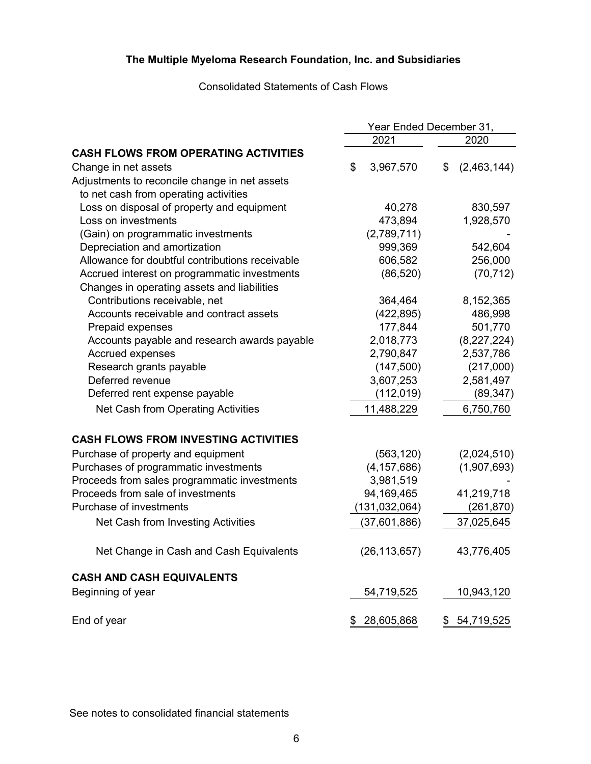# Consolidated Statements of Cash Flows

|                                                 | Year Ended December 31, |                 |    |             |
|-------------------------------------------------|-------------------------|-----------------|----|-------------|
|                                                 |                         | 2021            |    | 2020        |
| <b>CASH FLOWS FROM OPERATING ACTIVITIES</b>     |                         |                 |    |             |
| Change in net assets                            | \$                      | 3,967,570       | \$ | (2,463,144) |
| Adjustments to reconcile change in net assets   |                         |                 |    |             |
| to net cash from operating activities           |                         |                 |    |             |
| Loss on disposal of property and equipment      |                         | 40,278          |    | 830,597     |
| Loss on investments                             |                         | 473,894         |    | 1,928,570   |
| (Gain) on programmatic investments              |                         | (2,789,711)     |    |             |
| Depreciation and amortization                   |                         | 999,369         |    | 542,604     |
| Allowance for doubtful contributions receivable |                         | 606,582         |    | 256,000     |
| Accrued interest on programmatic investments    |                         | (86, 520)       |    | (70, 712)   |
| Changes in operating assets and liabilities     |                         |                 |    |             |
| Contributions receivable, net                   |                         | 364,464         |    | 8,152,365   |
| Accounts receivable and contract assets         |                         | (422, 895)      |    | 486,998     |
| Prepaid expenses                                |                         | 177,844         |    | 501,770     |
| Accounts payable and research awards payable    |                         | 2,018,773       |    | (8,227,224) |
| <b>Accrued expenses</b>                         |                         | 2,790,847       |    | 2,537,786   |
| Research grants payable                         |                         | (147, 500)      |    | (217,000)   |
| Deferred revenue                                |                         | 3,607,253       |    | 2,581,497   |
| Deferred rent expense payable                   |                         | (112, 019)      |    | (89, 347)   |
| Net Cash from Operating Activities              |                         | 11,488,229      |    | 6,750,760   |
| <b>CASH FLOWS FROM INVESTING ACTIVITIES</b>     |                         |                 |    |             |
| Purchase of property and equipment              |                         | (563, 120)      |    | (2,024,510) |
| Purchases of programmatic investments           |                         | (4, 157, 686)   |    | (1,907,693) |
| Proceeds from sales programmatic investments    |                         | 3,981,519       |    |             |
| Proceeds from sale of investments               |                         | 94,169,465      |    | 41,219,718  |
| Purchase of investments                         |                         | (131, 032, 064) |    | (261, 870)  |
| Net Cash from Investing Activities              |                         | (37,601,886)    |    | 37,025,645  |
| Net Change in Cash and Cash Equivalents         |                         | (26, 113, 657)  |    | 43,776,405  |
| <b>CASH AND CASH EQUIVALENTS</b>                |                         |                 |    |             |
| Beginning of year                               |                         | 54,719,525      |    | 10,943,120  |
| End of year                                     | \$                      | 28,605,868      | \$ | 54,719,525  |

See notes to consolidated financial statements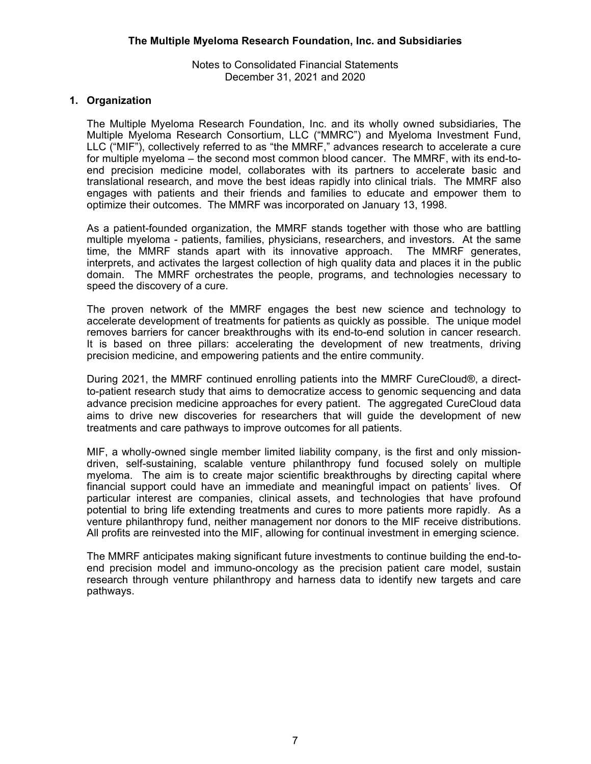# **1. Organization**

The Multiple Myeloma Research Foundation, Inc. and its wholly owned subsidiaries, The Multiple Myeloma Research Consortium, LLC ("MMRC") and Myeloma Investment Fund, LLC ("MIF"), collectively referred to as "the MMRF," advances research to accelerate a cure for multiple myeloma – the second most common blood cancer. The MMRF, with its end-toend precision medicine model, collaborates with its partners to accelerate basic and translational research, and move the best ideas rapidly into clinical trials. The MMRF also engages with patients and their friends and families to educate and empower them to optimize their outcomes. The MMRF was incorporated on January 13, 1998.

As a patient-founded organization, the MMRF stands together with those who are battling multiple myeloma - patients, families, physicians, researchers, and investors. At the same time, the MMRF stands apart with its innovative approach. The MMRF generates, interprets, and activates the largest collection of high quality data and places it in the public domain. The MMRF orchestrates the people, programs, and technologies necessary to speed the discovery of a cure.

The proven network of the MMRF engages the best new science and technology to accelerate development of treatments for patients as quickly as possible. The unique model removes barriers for cancer breakthroughs with its end-to-end solution in cancer research. It is based on three pillars: accelerating the development of new treatments, driving precision medicine, and empowering patients and the entire community.

During 2021, the MMRF continued enrolling patients into the MMRF CureCloud®, a directto-patient research study that aims to democratize access to genomic sequencing and data advance precision medicine approaches for every patient. The aggregated CureCloud data aims to drive new discoveries for researchers that will guide the development of new treatments and care pathways to improve outcomes for all patients.

MIF, a wholly-owned single member limited liability company, is the first and only missiondriven, self-sustaining, scalable venture philanthropy fund focused solely on multiple myeloma. The aim is to create major scientific breakthroughs by directing capital where financial support could have an immediate and meaningful impact on patients' lives. Of particular interest are companies, clinical assets, and technologies that have profound potential to bring life extending treatments and cures to more patients more rapidly. As a venture philanthropy fund, neither management nor donors to the MIF receive distributions. All profits are reinvested into the MIF, allowing for continual investment in emerging science.

The MMRF anticipates making significant future investments to continue building the end-toend precision model and immuno-oncology as the precision patient care model, sustain research through venture philanthropy and harness data to identify new targets and care pathways.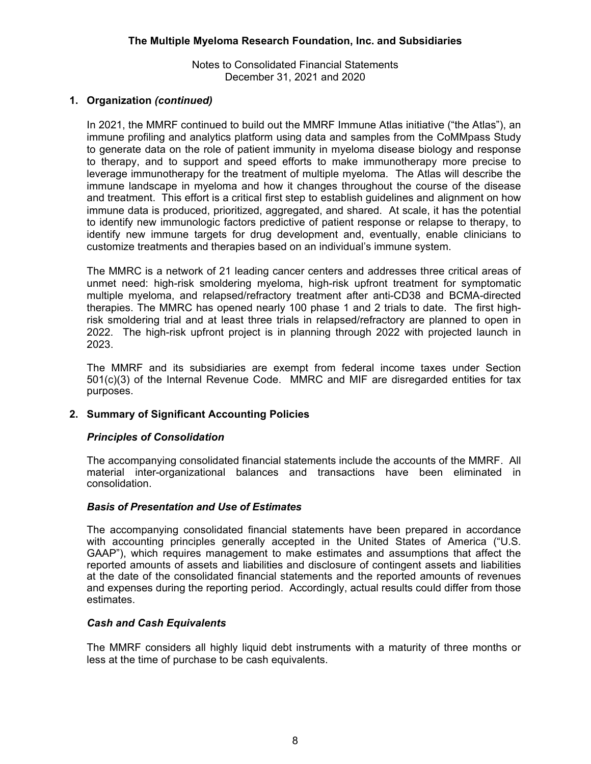# **1. Organization** *(continued)*

In 2021, the MMRF continued to build out the MMRF Immune Atlas initiative ("the Atlas"), an immune profiling and analytics platform using data and samples from the CoMMpass Study to generate data on the role of patient immunity in myeloma disease biology and response to therapy, and to support and speed efforts to make immunotherapy more precise to leverage immunotherapy for the treatment of multiple myeloma. The Atlas will describe the immune landscape in myeloma and how it changes throughout the course of the disease and treatment. This effort is a critical first step to establish guidelines and alignment on how immune data is produced, prioritized, aggregated, and shared. At scale, it has the potential to identify new immunologic factors predictive of patient response or relapse to therapy, to identify new immune targets for drug development and, eventually, enable clinicians to customize treatments and therapies based on an individual's immune system.

The MMRC is a network of 21 leading cancer centers and addresses three critical areas of unmet need: high-risk smoldering myeloma, high-risk upfront treatment for symptomatic multiple myeloma, and relapsed/refractory treatment after anti-CD38 and BCMA-directed therapies. The MMRC has opened nearly 100 phase 1 and 2 trials to date. The first highrisk smoldering trial and at least three trials in relapsed/refractory are planned to open in 2022. The high-risk upfront project is in planning through 2022 with projected launch in 2023.

The MMRF and its subsidiaries are exempt from federal income taxes under Section 501(c)(3) of the Internal Revenue Code. MMRC and MIF are disregarded entities for tax purposes.

# **2. Summary of Significant Accounting Policies**

# *Principles of Consolidation*

The accompanying consolidated financial statements include the accounts of the MMRF. All material inter-organizational balances and transactions have been eliminated in consolidation.

# *Basis of Presentation and Use of Estimates*

The accompanying consolidated financial statements have been prepared in accordance with accounting principles generally accepted in the United States of America ("U.S. GAAP"), which requires management to make estimates and assumptions that affect the reported amounts of assets and liabilities and disclosure of contingent assets and liabilities at the date of the consolidated financial statements and the reported amounts of revenues and expenses during the reporting period. Accordingly, actual results could differ from those estimates.

# *Cash and Cash Equivalents*

The MMRF considers all highly liquid debt instruments with a maturity of three months or less at the time of purchase to be cash equivalents.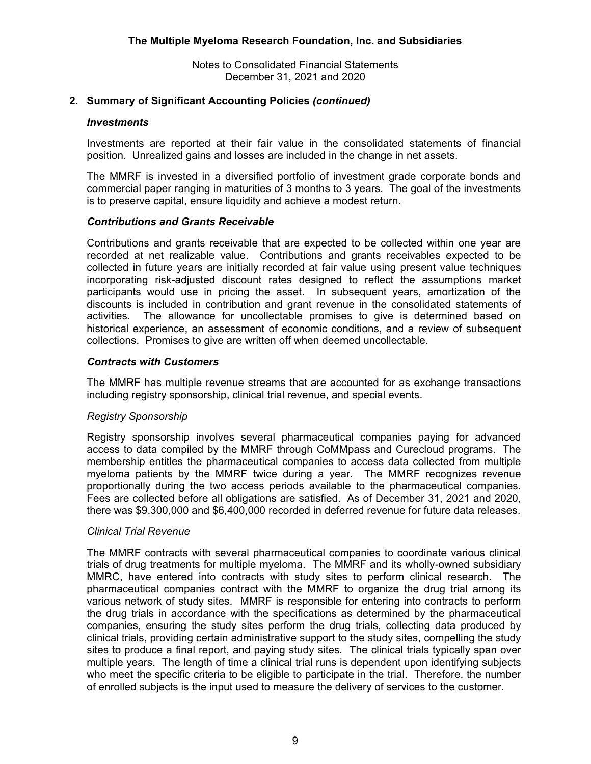# **2. Summary of Significant Accounting Policies** *(continued)*

## *Investments*

Investments are reported at their fair value in the consolidated statements of financial position. Unrealized gains and losses are included in the change in net assets.

The MMRF is invested in a diversified portfolio of investment grade corporate bonds and commercial paper ranging in maturities of 3 months to 3 years. The goal of the investments is to preserve capital, ensure liquidity and achieve a modest return.

# *Contributions and Grants Receivable*

Contributions and grants receivable that are expected to be collected within one year are recorded at net realizable value. Contributions and grants receivables expected to be collected in future years are initially recorded at fair value using present value techniques incorporating risk-adjusted discount rates designed to reflect the assumptions market participants would use in pricing the asset. In subsequent years, amortization of the discounts is included in contribution and grant revenue in the consolidated statements of activities. The allowance for uncollectable promises to give is determined based on historical experience, an assessment of economic conditions, and a review of subsequent collections. Promises to give are written off when deemed uncollectable.

## *Contracts with Customers*

The MMRF has multiple revenue streams that are accounted for as exchange transactions including registry sponsorship, clinical trial revenue, and special events.

# *Registry Sponsorship*

Registry sponsorship involves several pharmaceutical companies paying for advanced access to data compiled by the MMRF through CoMMpass and Curecloud programs. The membership entitles the pharmaceutical companies to access data collected from multiple myeloma patients by the MMRF twice during a year. The MMRF recognizes revenue proportionally during the two access periods available to the pharmaceutical companies. Fees are collected before all obligations are satisfied. As of December 31, 2021 and 2020, there was \$9,300,000 and \$6,400,000 recorded in deferred revenue for future data releases.

#### *Clinical Trial Revenue*

The MMRF contracts with several pharmaceutical companies to coordinate various clinical trials of drug treatments for multiple myeloma. The MMRF and its wholly-owned subsidiary MMRC, have entered into contracts with study sites to perform clinical research. The pharmaceutical companies contract with the MMRF to organize the drug trial among its various network of study sites. MMRF is responsible for entering into contracts to perform the drug trials in accordance with the specifications as determined by the pharmaceutical companies, ensuring the study sites perform the drug trials, collecting data produced by clinical trials, providing certain administrative support to the study sites, compelling the study sites to produce a final report, and paying study sites. The clinical trials typically span over multiple years. The length of time a clinical trial runs is dependent upon identifying subjects who meet the specific criteria to be eligible to participate in the trial. Therefore, the number of enrolled subjects is the input used to measure the delivery of services to the customer.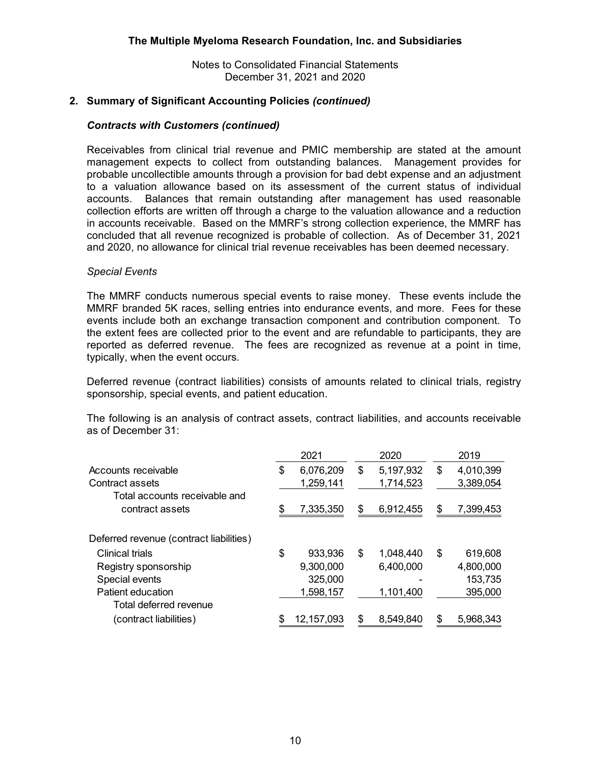# **2. Summary of Significant Accounting Policies** *(continued)*

#### *Contracts with Customers (continued)*

Receivables from clinical trial revenue and PMIC membership are stated at the amount management expects to collect from outstanding balances. Management provides for probable uncollectible amounts through a provision for bad debt expense and an adjustment to a valuation allowance based on its assessment of the current status of individual accounts. Balances that remain outstanding after management has used reasonable collection efforts are written off through a charge to the valuation allowance and a reduction in accounts receivable. Based on the MMRF's strong collection experience, the MMRF has concluded that all revenue recognized is probable of collection. As of December 31, 2021 and 2020, no allowance for clinical trial revenue receivables has been deemed necessary.

#### *Special Events*

The MMRF conducts numerous special events to raise money. These events include the MMRF branded 5K races, selling entries into endurance events, and more. Fees for these events include both an exchange transaction component and contribution component. To the extent fees are collected prior to the event and are refundable to participants, they are reported as deferred revenue. The fees are recognized as revenue at a point in time, typically, when the event occurs.

Deferred revenue (contract liabilities) consists of amounts related to clinical trials, registry sponsorship, special events, and patient education.

The following is an analysis of contract assets, contract liabilities, and accounts receivable as of December 31:

|                                                  |    | 2021       |    | 2020      |    | 2019      |
|--------------------------------------------------|----|------------|----|-----------|----|-----------|
| Accounts receivable                              | S  | 6,076,209  | S  | 5,197,932 | \$ | 4,010,399 |
| Contract assets                                  |    | 1,259,141  |    | 1,714,523 |    | 3,389,054 |
| Total accounts receivable and<br>contract assets | \$ | 7,335,350  | \$ | 6,912,455 | S  | 7,399,453 |
| Deferred revenue (contract liabilities)          |    |            |    |           |    |           |
| Clinical trials                                  | \$ | 933,936    | \$ | 1,048,440 | \$ | 619,608   |
| Registry sponsorship                             |    | 9,300,000  |    | 6,400,000 |    | 4,800,000 |
| Special events                                   |    | 325,000    |    |           |    | 153,735   |
| Patient education                                |    | 1,598,157  |    | 1,101,400 |    | 395,000   |
| Total deferred revenue                           |    |            |    |           |    |           |
| (contract liabilities)                           |    | 12,157,093 |    | 8,549,840 |    | 5,968,343 |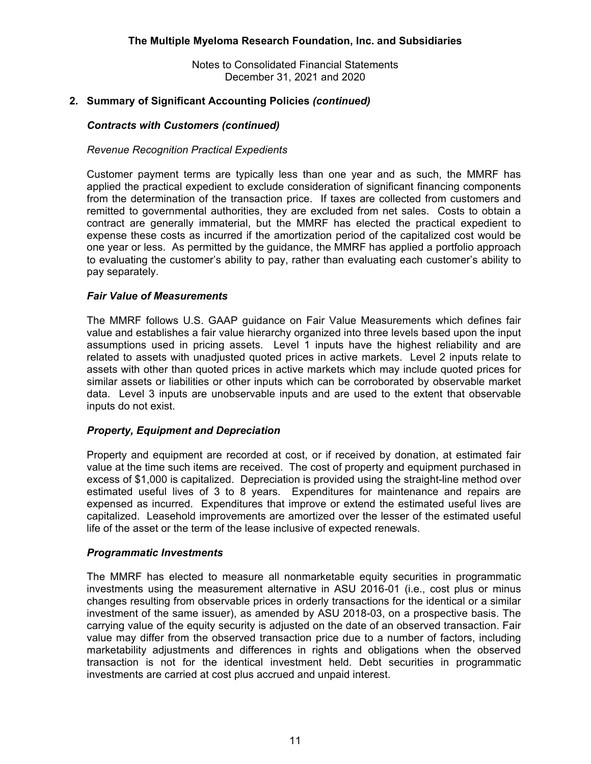# **2. Summary of Significant Accounting Policies** *(continued)*

# *Contracts with Customers (continued)*

## *Revenue Recognition Practical Expedients*

Customer payment terms are typically less than one year and as such, the MMRF has applied the practical expedient to exclude consideration of significant financing components from the determination of the transaction price. If taxes are collected from customers and remitted to governmental authorities, they are excluded from net sales. Costs to obtain a contract are generally immaterial, but the MMRF has elected the practical expedient to expense these costs as incurred if the amortization period of the capitalized cost would be one year or less. As permitted by the guidance, the MMRF has applied a portfolio approach to evaluating the customer's ability to pay, rather than evaluating each customer's ability to pay separately.

## *Fair Value of Measurements*

The MMRF follows U.S. GAAP guidance on Fair Value Measurements which defines fair value and establishes a fair value hierarchy organized into three levels based upon the input assumptions used in pricing assets. Level 1 inputs have the highest reliability and are related to assets with unadjusted quoted prices in active markets. Level 2 inputs relate to assets with other than quoted prices in active markets which may include quoted prices for similar assets or liabilities or other inputs which can be corroborated by observable market data. Level 3 inputs are unobservable inputs and are used to the extent that observable inputs do not exist.

# *Property, Equipment and Depreciation*

Property and equipment are recorded at cost, or if received by donation, at estimated fair value at the time such items are received. The cost of property and equipment purchased in excess of \$1,000 is capitalized. Depreciation is provided using the straight-line method over estimated useful lives of 3 to 8 years. Expenditures for maintenance and repairs are expensed as incurred. Expenditures that improve or extend the estimated useful lives are capitalized. Leasehold improvements are amortized over the lesser of the estimated useful life of the asset or the term of the lease inclusive of expected renewals.

#### *Programmatic Investments*

The MMRF has elected to measure all nonmarketable equity securities in programmatic investments using the measurement alternative in ASU 2016-01 (i.e., cost plus or minus changes resulting from observable prices in orderly transactions for the identical or a similar investment of the same issuer), as amended by ASU 2018-03, on a prospective basis. The carrying value of the equity security is adjusted on the date of an observed transaction. Fair value may differ from the observed transaction price due to a number of factors, including marketability adjustments and differences in rights and obligations when the observed transaction is not for the identical investment held. Debt securities in programmatic investments are carried at cost plus accrued and unpaid interest.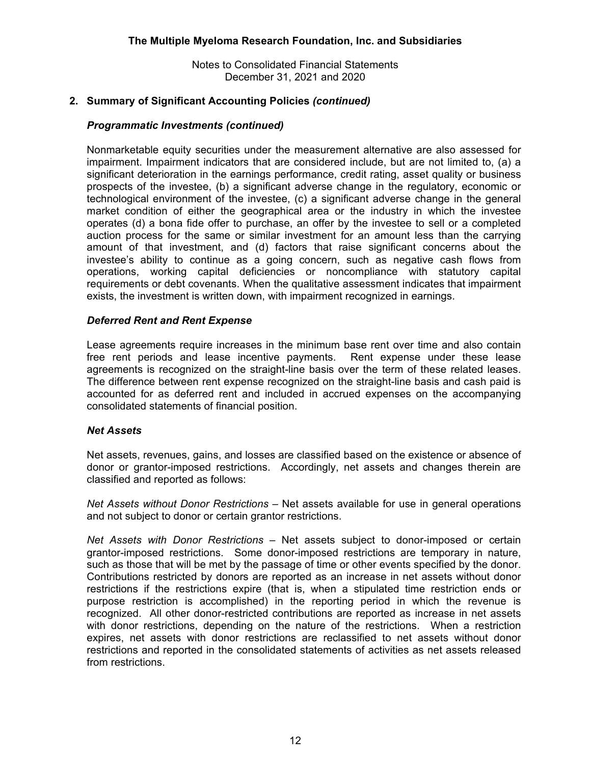# **2. Summary of Significant Accounting Policies** *(continued)*

# *Programmatic Investments (continued)*

Nonmarketable equity securities under the measurement alternative are also assessed for impairment. Impairment indicators that are considered include, but are not limited to, (a) a significant deterioration in the earnings performance, credit rating, asset quality or business prospects of the investee, (b) a significant adverse change in the regulatory, economic or technological environment of the investee, (c) a significant adverse change in the general market condition of either the geographical area or the industry in which the investee operates (d) a bona fide offer to purchase, an offer by the investee to sell or a completed auction process for the same or similar investment for an amount less than the carrying amount of that investment, and (d) factors that raise significant concerns about the investee's ability to continue as a going concern, such as negative cash flows from operations, working capital deficiencies or noncompliance with statutory capital requirements or debt covenants. When the qualitative assessment indicates that impairment exists, the investment is written down, with impairment recognized in earnings.

# *Deferred Rent and Rent Expense*

Lease agreements require increases in the minimum base rent over time and also contain free rent periods and lease incentive payments. Rent expense under these lease agreements is recognized on the straight-line basis over the term of these related leases. The difference between rent expense recognized on the straight-line basis and cash paid is accounted for as deferred rent and included in accrued expenses on the accompanying consolidated statements of financial position.

# *Net Assets*

Net assets, revenues, gains, and losses are classified based on the existence or absence of donor or grantor-imposed restrictions. Accordingly, net assets and changes therein are classified and reported as follows:

*Net Assets without Donor Restrictions* – Net assets available for use in general operations and not subject to donor or certain grantor restrictions.

*Net Assets with Donor Restrictions* – Net assets subject to donor-imposed or certain grantor-imposed restrictions. Some donor-imposed restrictions are temporary in nature, such as those that will be met by the passage of time or other events specified by the donor. Contributions restricted by donors are reported as an increase in net assets without donor restrictions if the restrictions expire (that is, when a stipulated time restriction ends or purpose restriction is accomplished) in the reporting period in which the revenue is recognized. All other donor-restricted contributions are reported as increase in net assets with donor restrictions, depending on the nature of the restrictions. When a restriction expires, net assets with donor restrictions are reclassified to net assets without donor restrictions and reported in the consolidated statements of activities as net assets released from restrictions.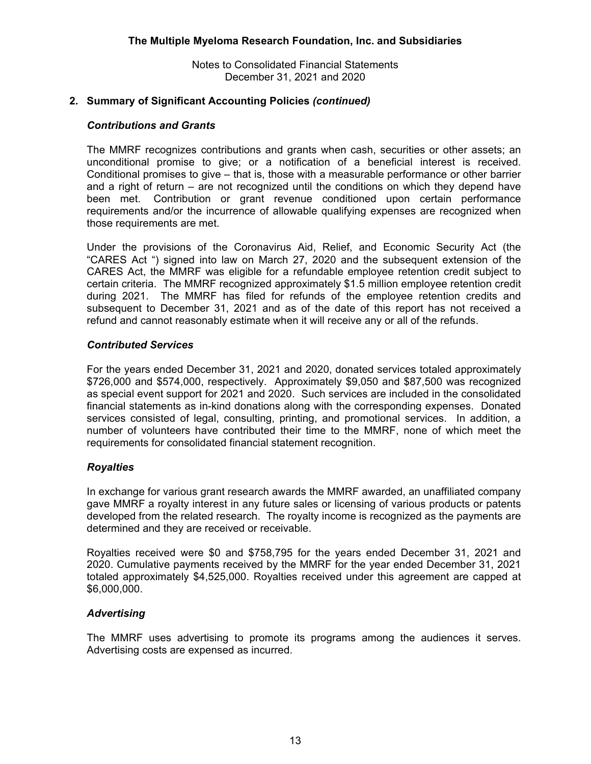# **2. Summary of Significant Accounting Policies** *(continued)*

## *Contributions and Grants*

The MMRF recognizes contributions and grants when cash, securities or other assets; an unconditional promise to give; or a notification of a beneficial interest is received. Conditional promises to give – that is, those with a measurable performance or other barrier and a right of return – are not recognized until the conditions on which they depend have been met. Contribution or grant revenue conditioned upon certain performance requirements and/or the incurrence of allowable qualifying expenses are recognized when those requirements are met.

Under the provisions of the Coronavirus Aid, Relief, and Economic Security Act (the "CARES Act ") signed into law on March 27, 2020 and the subsequent extension of the CARES Act, the MMRF was eligible for a refundable employee retention credit subject to certain criteria. The MMRF recognized approximately \$1.5 million employee retention credit during 2021. The MMRF has filed for refunds of the employee retention credits and subsequent to December 31, 2021 and as of the date of this report has not received a refund and cannot reasonably estimate when it will receive any or all of the refunds.

## *Contributed Services*

For the years ended December 31, 2021 and 2020, donated services totaled approximately \$726,000 and \$574,000, respectively. Approximately \$9,050 and \$87,500 was recognized as special event support for 2021 and 2020. Such services are included in the consolidated financial statements as in-kind donations along with the corresponding expenses. Donated services consisted of legal, consulting, printing, and promotional services. In addition, a number of volunteers have contributed their time to the MMRF, none of which meet the requirements for consolidated financial statement recognition.

#### *Royalties*

In exchange for various grant research awards the MMRF awarded, an unaffiliated company gave MMRF a royalty interest in any future sales or licensing of various products or patents developed from the related research. The royalty income is recognized as the payments are determined and they are received or receivable.

Royalties received were \$0 and \$758,795 for the years ended December 31, 2021 and 2020. Cumulative payments received by the MMRF for the year ended December 31, 2021 totaled approximately \$4,525,000. Royalties received under this agreement are capped at \$6,000,000.

#### *Advertising*

The MMRF uses advertising to promote its programs among the audiences it serves. Advertising costs are expensed as incurred.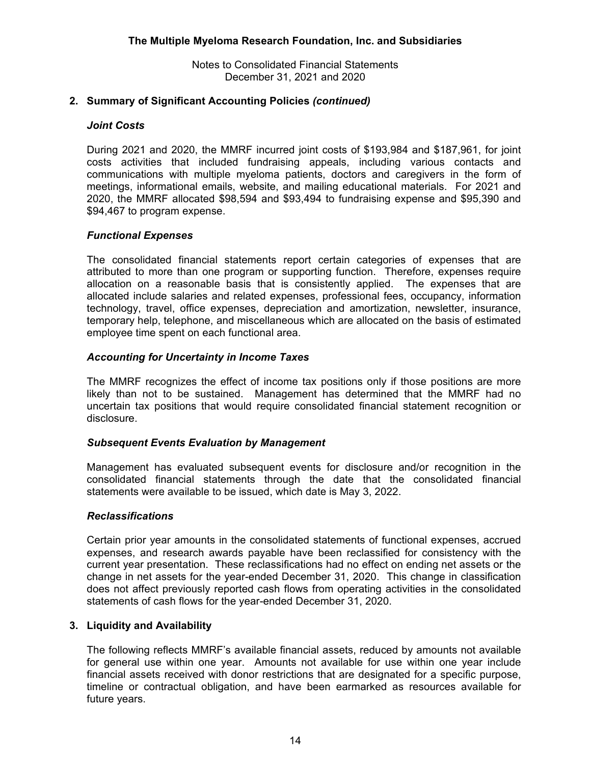# **2. Summary of Significant Accounting Policies** *(continued)*

## *Joint Costs*

During 2021 and 2020, the MMRF incurred joint costs of \$193,984 and \$187,961, for joint costs activities that included fundraising appeals, including various contacts and communications with multiple myeloma patients, doctors and caregivers in the form of meetings, informational emails, website, and mailing educational materials. For 2021 and 2020, the MMRF allocated \$98,594 and \$93,494 to fundraising expense and \$95,390 and \$94,467 to program expense.

## *Functional Expenses*

The consolidated financial statements report certain categories of expenses that are attributed to more than one program or supporting function. Therefore, expenses require allocation on a reasonable basis that is consistently applied. The expenses that are allocated include salaries and related expenses, professional fees, occupancy, information technology, travel, office expenses, depreciation and amortization, newsletter, insurance, temporary help, telephone, and miscellaneous which are allocated on the basis of estimated employee time spent on each functional area.

## *Accounting for Uncertainty in Income Taxes*

The MMRF recognizes the effect of income tax positions only if those positions are more likely than not to be sustained. Management has determined that the MMRF had no uncertain tax positions that would require consolidated financial statement recognition or disclosure.

#### *Subsequent Events Evaluation by Management*

Management has evaluated subsequent events for disclosure and/or recognition in the consolidated financial statements through the date that the consolidated financial statements were available to be issued, which date is May 3, 2022.

#### *Reclassifications*

Certain prior year amounts in the consolidated statements of functional expenses, accrued expenses, and research awards payable have been reclassified for consistency with the current year presentation. These reclassifications had no effect on ending net assets or the change in net assets for the year-ended December 31, 2020. This change in classification does not affect previously reported cash flows from operating activities in the consolidated statements of cash flows for the year-ended December 31, 2020.

## **3. Liquidity and Availability**

The following reflects MMRF's available financial assets, reduced by amounts not available for general use within one year. Amounts not available for use within one year include financial assets received with donor restrictions that are designated for a specific purpose, timeline or contractual obligation, and have been earmarked as resources available for future years.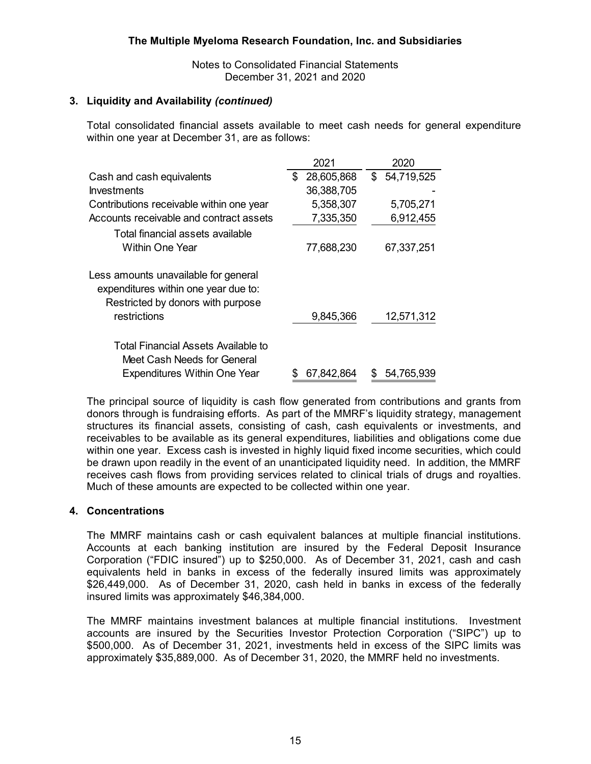# **3. Liquidity and Availability** *(continued)*

Total consolidated financial assets available to meet cash needs for general expenditure within one year at December 31, are as follows:

|                                                                                                                   |    | 2021       |   | 2020         |
|-------------------------------------------------------------------------------------------------------------------|----|------------|---|--------------|
| Cash and cash equivalents                                                                                         | \$ | 28,605,868 |   | \$54,719,525 |
| <b>Investments</b>                                                                                                |    | 36,388,705 |   |              |
| Contributions receivable within one year                                                                          |    | 5,358,307  |   | 5,705,271    |
| Accounts receivable and contract assets                                                                           |    | 7,335,350  |   | 6,912,455    |
| Total financial assets available<br>Within One Year                                                               |    | 77,688,230 |   | 67,337,251   |
| Less amounts unavailable for general<br>expenditures within one year due to:<br>Restricted by donors with purpose |    |            |   |              |
| restrictions                                                                                                      |    | 9,845,366  |   | 12,571,312   |
| Total Financial Assets Available to<br>Meet Cash Needs for General                                                |    |            |   |              |
| Expenditures Within One Year                                                                                      | S  | 67,842,864 | S | 54,765,939   |

The principal source of liquidity is cash flow generated from contributions and grants from donors through is fundraising efforts. As part of the MMRF's liquidity strategy, management structures its financial assets, consisting of cash, cash equivalents or investments, and receivables to be available as its general expenditures, liabilities and obligations come due within one year. Excess cash is invested in highly liquid fixed income securities, which could be drawn upon readily in the event of an unanticipated liquidity need. In addition, the MMRF receives cash flows from providing services related to clinical trials of drugs and royalties. Much of these amounts are expected to be collected within one year.

# **4. Concentrations**

The MMRF maintains cash or cash equivalent balances at multiple financial institutions. Accounts at each banking institution are insured by the Federal Deposit Insurance Corporation ("FDIC insured") up to \$250,000. As of December 31, 2021, cash and cash equivalents held in banks in excess of the federally insured limits was approximately \$26,449,000. As of December 31, 2020, cash held in banks in excess of the federally insured limits was approximately \$46,384,000.

The MMRF maintains investment balances at multiple financial institutions. Investment accounts are insured by the Securities Investor Protection Corporation ("SIPC") up to \$500,000. As of December 31, 2021, investments held in excess of the SIPC limits was approximately \$35,889,000. As of December 31, 2020, the MMRF held no investments.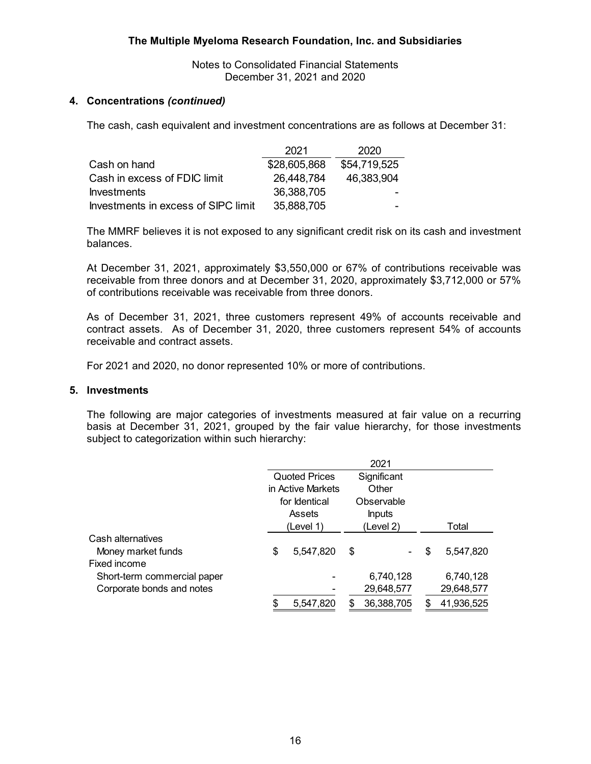Notes to Consolidated Financial Statements December 31, 2021 and 2020

# **4. Concentrations** *(continued)*

The cash, cash equivalent and investment concentrations are as follows at December 31:

|                                     | 2021         | 2020           |
|-------------------------------------|--------------|----------------|
| Cash on hand                        | \$28,605,868 | \$54,719,525   |
| Cash in excess of FDIC limit        | 26,448,784   | 46,383,904     |
| <b>Investments</b>                  | 36,388,705   |                |
| Investments in excess of SIPC limit | 35,888,705   | <b>Section</b> |

The MMRF believes it is not exposed to any significant credit risk on its cash and investment balances.

At December 31, 2021, approximately \$3,550,000 or 67% of contributions receivable was receivable from three donors and at December 31, 2020, approximately \$3,712,000 or 57% of contributions receivable was receivable from three donors.

As of December 31, 2021, three customers represent 49% of accounts receivable and contract assets. As of December 31, 2020, three customers represent 54% of accounts receivable and contract assets.

For 2021 and 2020, no donor represented 10% or more of contributions.

#### **5. Investments**

The following are major categories of investments measured at fair value on a recurring basis at December 31, 2021, grouped by the fair value hierarchy, for those investments subject to categorization within such hierarchy:

|                             |               |                      | 2021          |                 |
|-----------------------------|---------------|----------------------|---------------|-----------------|
|                             |               | <b>Quoted Prices</b> | Significant   |                 |
|                             |               | in Active Markets    | Other         |                 |
|                             | for Identical |                      | Observable    |                 |
|                             | Assets        |                      | <b>Inputs</b> |                 |
|                             |               | (Level 1)            | (Level 2)     | Total           |
| Cash alternatives           |               |                      |               |                 |
| Money market funds          | \$            | 5,547,820            | \$            | \$<br>5,547,820 |
| Fixed income                |               |                      |               |                 |
| Short-term commercial paper |               |                      | 6,740,128     | 6,740,128       |
| Corporate bonds and notes   |               |                      | 29,648,577    | 29,648,577      |
|                             | \$            | 5,547,820            | 36,388,705    | 41,936,525      |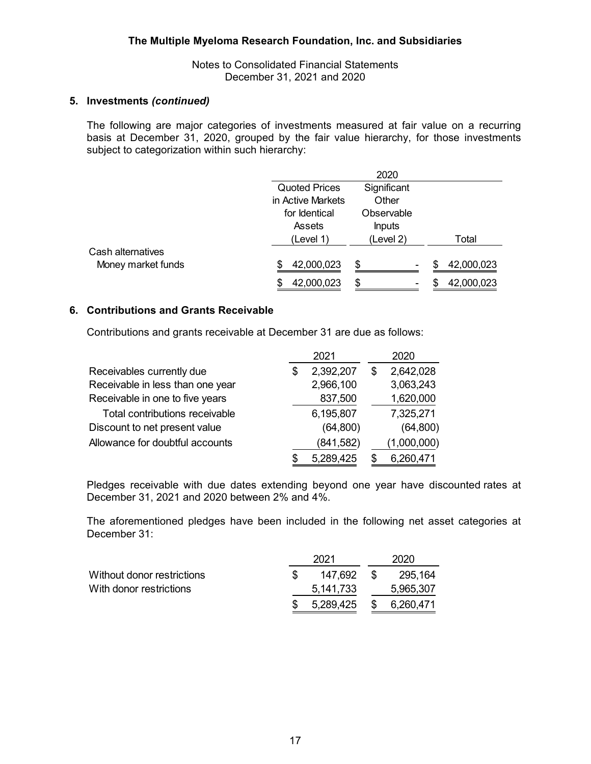#### **5. Investments** *(continued)*

The following are major categories of investments measured at fair value on a recurring basis at December 31, 2020, grouped by the fair value hierarchy, for those investments subject to categorization within such hierarchy:

|                    |                      | 2020          |                   |
|--------------------|----------------------|---------------|-------------------|
|                    | <b>Quoted Prices</b> | Significant   |                   |
|                    | in Active Markets    | Other         |                   |
|                    | for Identical        | Observable    |                   |
|                    | Assets               | <b>Inputs</b> |                   |
|                    | (Level 1)            | (Level 2)     | Total             |
| Cash alternatives  |                      |               |                   |
| Money market funds | 42,000,023<br>S      | \$            | 42,000,023<br>\$. |
|                    | 42,000,023<br>S      | \$            | 42,000,023        |

# **6. Contributions and Grants Receivable**

Contributions and grants receivable at December 31 are due as follows:

|                                  |   | 2021       |   | 2020        |
|----------------------------------|---|------------|---|-------------|
| Receivables currently due        | S | 2,392,207  | S | 2,642,028   |
| Receivable in less than one year |   | 2,966,100  |   | 3,063,243   |
| Receivable in one to five years  |   | 837,500    |   | 1,620,000   |
| Total contributions receivable   |   | 6,195,807  |   | 7,325,271   |
| Discount to net present value    |   | (64, 800)  |   | (64, 800)   |
| Allowance for doubtful accounts  |   | (841, 582) |   | (1,000,000) |
|                                  | S | 5,289,425  |   | 6,260,471   |

Pledges receivable with due dates extending beyond one year have discounted rates at December 31, 2021 and 2020 between 2% and 4%.

The aforementioned pledges have been included in the following net asset categories at December 31:

|                            | 2021      |      | 2020         |  |  |
|----------------------------|-----------|------|--------------|--|--|
| Without donor restrictions | 147.692   | - \$ | 295,164      |  |  |
| With donor restrictions    | 5,141,733 |      | 5,965,307    |  |  |
|                            | 5,289,425 |      | \$ 6,260,471 |  |  |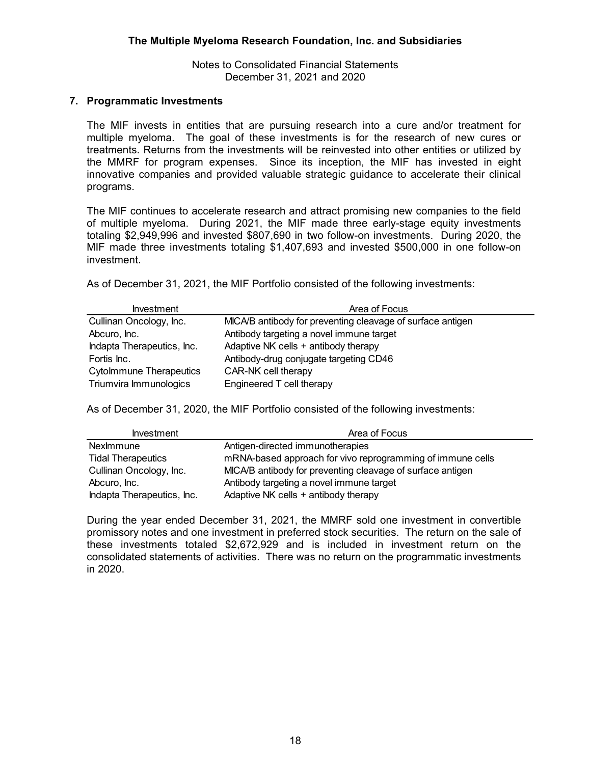## **7. Programmatic Investments**

The MIF invests in entities that are pursuing research into a cure and/or treatment for multiple myeloma. The goal of these investments is for the research of new cures or treatments. Returns from the investments will be reinvested into other entities or utilized by the MMRF for program expenses. Since its inception, the MIF has invested in eight innovative companies and provided valuable strategic guidance to accelerate their clinical programs.

The MIF continues to accelerate research and attract promising new companies to the field of multiple myeloma. During 2021, the MIF made three early-stage equity investments totaling \$2,949,996 and invested \$807,690 in two follow-on investments. During 2020, the MIF made three investments totaling \$1,407,693 and invested \$500,000 in one follow-on investment.

As of December 31, 2021, the MIF Portfolio consisted of the following investments:

| <b>Investment</b>              | Area of Focus                                              |
|--------------------------------|------------------------------------------------------------|
| Cullinan Oncology, Inc.        | MICA/B antibody for preventing cleavage of surface antigen |
| Abcuro, Inc.                   | Antibody targeting a novel immune target                   |
| Indapta Therapeutics, Inc.     | Adaptive NK cells + antibody therapy                       |
| Fortis Inc.                    | Antibody-drug conjugate targeting CD46                     |
| <b>Cytolmmune Therapeutics</b> | CAR-NK cell therapy                                        |
| Triumvira Immunologics         | Engineered T cell therapy                                  |

As of December 31, 2020, the MIF Portfolio consisted of the following investments:

| <b>Investment</b>          | Area of Focus                                              |
|----------------------------|------------------------------------------------------------|
| NexImmune                  | Antigen-directed immunotherapies                           |
| <b>Tidal Therapeutics</b>  | mRNA-based approach for vivo reprogramming of immune cells |
| Cullinan Oncology, Inc.    | MICA/B antibody for preventing cleavage of surface antigen |
| Abcuro, Inc.               | Antibody targeting a novel immune target                   |
| Indapta Therapeutics, Inc. | Adaptive NK cells + antibody therapy                       |

During the year ended December 31, 2021, the MMRF sold one investment in convertible promissory notes and one investment in preferred stock securities. The return on the sale of these investments totaled \$2,672,929 and is included in investment return on the consolidated statements of activities. There was no return on the programmatic investments in 2020.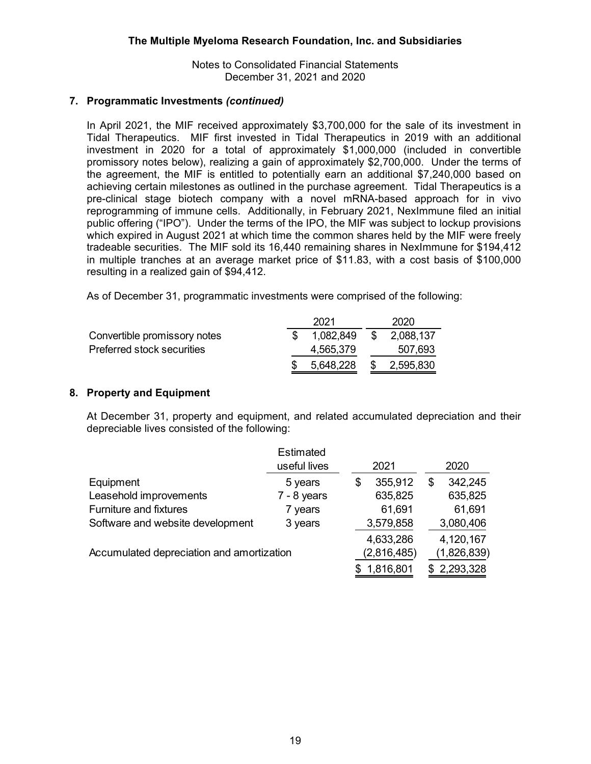# **7. Programmatic Investments** *(continued)*

In April 2021, the MIF received approximately \$3,700,000 for the sale of its investment in Tidal Therapeutics. MIF first invested in Tidal Therapeutics in 2019 with an additional investment in 2020 for a total of approximately \$1,000,000 (included in convertible promissory notes below), realizing a gain of approximately \$2,700,000. Under the terms of the agreement, the MIF is entitled to potentially earn an additional \$7,240,000 based on achieving certain milestones as outlined in the purchase agreement. Tidal Therapeutics is a pre-clinical stage biotech company with a novel mRNA-based approach for in vivo reprogramming of immune cells. Additionally, in February 2021, NexImmune filed an initial public offering ("IPO"). Under the terms of the IPO, the MIF was subject to lockup provisions which expired in August 2021 at which time the common shares held by the MIF were freely tradeable securities. The MIF sold its 16,440 remaining shares in NexImmune for \$194,412 in multiple tranches at an average market price of \$11.83, with a cost basis of \$100,000 resulting in a realized gain of \$94,412.

As of December 31, programmatic investments were comprised of the following:

|                              | 2021      |      | 2020      |
|------------------------------|-----------|------|-----------|
| Convertible promissory notes | 1.082.849 | - \$ | 2,088,137 |
| Preferred stock securities   | 4,565,379 |      | 507,693   |
|                              | 5,648,228 | S.   | 2,595,830 |

# **8. Property and Equipment**

At December 31, property and equipment, and related accumulated depreciation and their depreciable lives consisted of the following:

|                                           | <b>Estimated</b><br>useful lives | 2021          | 2020          |
|-------------------------------------------|----------------------------------|---------------|---------------|
|                                           |                                  |               |               |
| Equipment                                 | 5 years                          | \$<br>355,912 | \$<br>342,245 |
| Leasehold improvements                    | $7 - 8$ years                    | 635,825       | 635,825       |
| <b>Furniture and fixtures</b>             | 7 years                          | 61,691        | 61,691        |
| Software and website development          | 3 years                          | 3,579,858     | 3,080,406     |
|                                           |                                  | 4,633,286     | 4,120,167     |
| Accumulated depreciation and amortization |                                  | (2,816,485)   | (1,826,839)   |
|                                           |                                  | 1,816,801     | \$2,293,328   |
|                                           |                                  |               |               |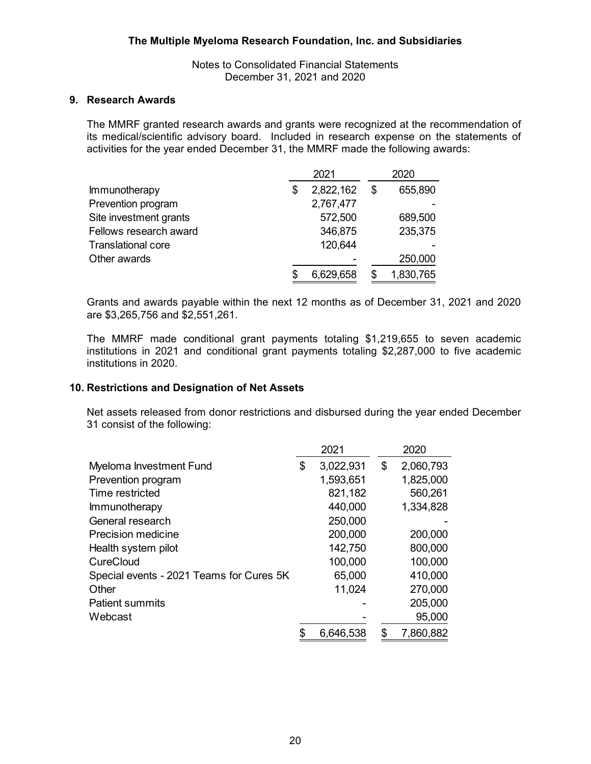Notes to Consolidated Financial Statements December 31, 2021 and 2020

#### **9. Research Awards**

The MMRF granted research awards and grants were recognized at the recommendation of its medical/scientific advisory board. Included in research expense on the statements of activities for the year ended December 31, the MMRF made the following awards:

|                           | 2021 |           | 2020 |           |
|---------------------------|------|-----------|------|-----------|
| <b>Immunotherapy</b>      | \$   | 2,822,162 | \$   | 655,890   |
| Prevention program        |      | 2,767,477 |      |           |
| Site investment grants    |      | 572,500   |      | 689,500   |
| Fellows research award    |      | 346,875   |      | 235,375   |
| <b>Translational core</b> |      | 120,644   |      |           |
| Other awards              |      |           |      | 250,000   |
|                           |      | 6,629,658 |      | 1,830,765 |

Grants and awards payable within the next 12 months as of December 31, 2021 and 2020 are \$3,265,756 and \$2,551,261.

The MMRF made conditional grant payments totaling \$1,219,655 to seven academic institutions in 2021 and conditional grant payments totaling \$2,287,000 to five academic institutions in 2020.

## **10. Restrictions and Designation of Net Assets**

Net assets released from donor restrictions and disbursed during the year ended December 31 consist of the following:

|                                          |    | 2021      | 2020            |
|------------------------------------------|----|-----------|-----------------|
| Myeloma Investment Fund                  | \$ | 3,022,931 | \$<br>2,060,793 |
| Prevention program                       |    | 1,593,651 | 1,825,000       |
| Time restricted                          |    | 821,182   | 560,261         |
| Immunotherapy                            |    | 440,000   | 1,334,828       |
| General research                         |    | 250,000   |                 |
| <b>Precision medicine</b>                |    | 200,000   | 200,000         |
| Health system pilot                      |    | 142,750   | 800,000         |
| CureCloud                                |    | 100,000   | 100,000         |
| Special events - 2021 Teams for Cures 5K |    | 65,000    | 410,000         |
| Other                                    |    | 11,024    | 270,000         |
| <b>Patient summits</b>                   |    |           | 205,000         |
| Webcast                                  |    |           | 95,000          |
|                                          | S  | 6.646,538 | \$<br>7,860,882 |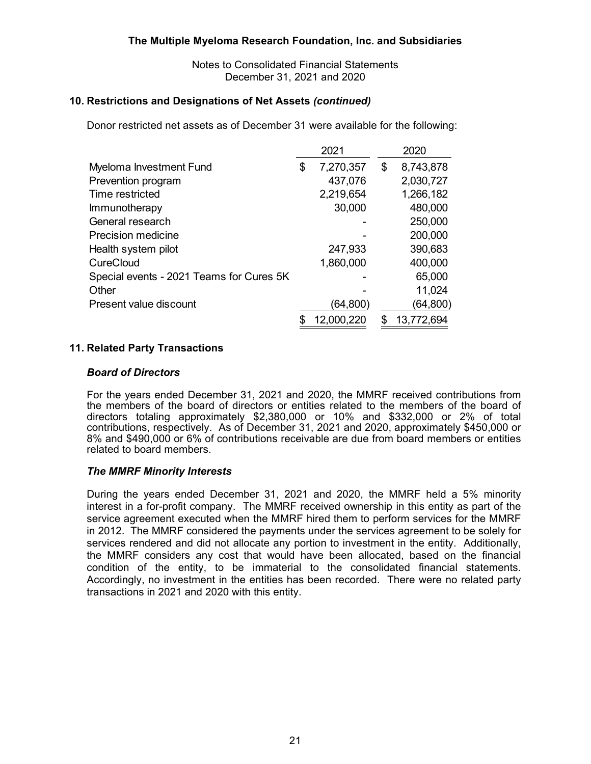Notes to Consolidated Financial Statements December 31, 2021 and 2020

#### **10. Restrictions and Designations of Net Assets** *(continued)*

Donor restricted net assets as of December 31 were available for the following:

|                                          | 2021            | 2020             |
|------------------------------------------|-----------------|------------------|
| Myeloma Investment Fund                  | \$<br>7,270,357 | \$<br>8,743,878  |
| Prevention program                       | 437,076         | 2,030,727        |
| Time restricted                          | 2,219,654       | 1,266,182        |
| Immunotherapy                            | 30,000          | 480,000          |
| General research                         |                 | 250,000          |
| <b>Precision medicine</b>                |                 | 200,000          |
| Health system pilot                      | 247,933         | 390,683          |
| CureCloud                                | 1,860,000       | 400,000          |
| Special events - 2021 Teams for Cures 5K |                 | 65,000           |
| Other                                    |                 | 11,024           |
| Present value discount                   | (64,800)        | (64, 800)        |
|                                          | 12,000,220      | \$<br>13,772,694 |

## **11. Related Party Transactions**

#### *Board of Directors*

For the years ended December 31, 2021 and 2020, the MMRF received contributions from the members of the board of directors or entities related to the members of the board of directors totaling approximately \$2,380,000 or 10% and \$332,000 or 2% of total contributions, respectively. As of December 31, 2021 and 2020, approximately \$450,000 or 8% and \$490,000 or 6% of contributions receivable are due from board members or entities related to board members.

#### *The MMRF Minority Interests*

During the years ended December 31, 2021 and 2020, the MMRF held a 5% minority interest in a for-profit company. The MMRF received ownership in this entity as part of the service agreement executed when the MMRF hired them to perform services for the MMRF in 2012. The MMRF considered the payments under the services agreement to be solely for services rendered and did not allocate any portion to investment in the entity. Additionally, the MMRF considers any cost that would have been allocated, based on the financial condition of the entity, to be immaterial to the consolidated financial statements. Accordingly, no investment in the entities has been recorded. There were no related party transactions in 2021 and 2020 with this entity.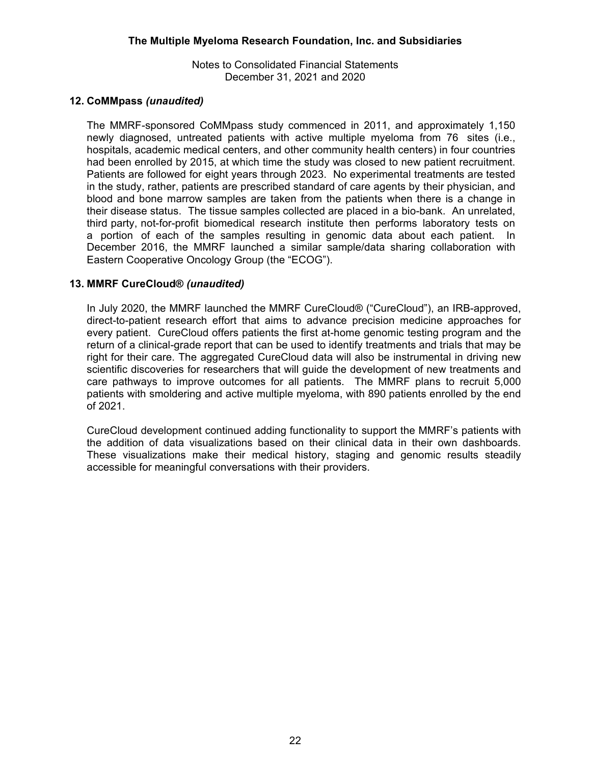# **12. CoMMpass** *(unaudited)*

The MMRF-sponsored CoMMpass study commenced in 2011, and approximately 1,150 newly diagnosed, untreated patients with active multiple myeloma from 76 sites (i.e., hospitals, academic medical centers, and other community health centers) in four countries had been enrolled by 2015, at which time the study was closed to new patient recruitment. Patients are followed for eight years through 2023. No experimental treatments are tested in the study, rather, patients are prescribed standard of care agents by their physician, and blood and bone marrow samples are taken from the patients when there is a change in their disease status. The tissue samples collected are placed in a bio-bank. An unrelated, third party, not-for-profit biomedical research institute then performs laboratory tests on a portion of each of the samples resulting in genomic data about each patient. In December 2016, the MMRF launched a similar sample/data sharing collaboration with Eastern Cooperative Oncology Group (the "ECOG").

# **13. MMRF CureCloud®** *(unaudited)*

In July 2020, the MMRF launched the MMRF CureCloud® ("CureCloud"), an IRB-approved, direct-to-patient research effort that aims to advance precision medicine approaches for every patient. CureCloud offers patients the first at-home genomic testing program and the return of a clinical-grade report that can be used to identify treatments and trials that may be right for their care. The aggregated CureCloud data will also be instrumental in driving new scientific discoveries for researchers that will guide the development of new treatments and care pathways to improve outcomes for all patients. The MMRF plans to recruit 5,000 patients with smoldering and active multiple myeloma, with 890 patients enrolled by the end of 2021.

CureCloud development continued adding functionality to support the MMRF's patients with the addition of data visualizations based on their clinical data in their own dashboards. These visualizations make their medical history, staging and genomic results steadily accessible for meaningful conversations with their providers.